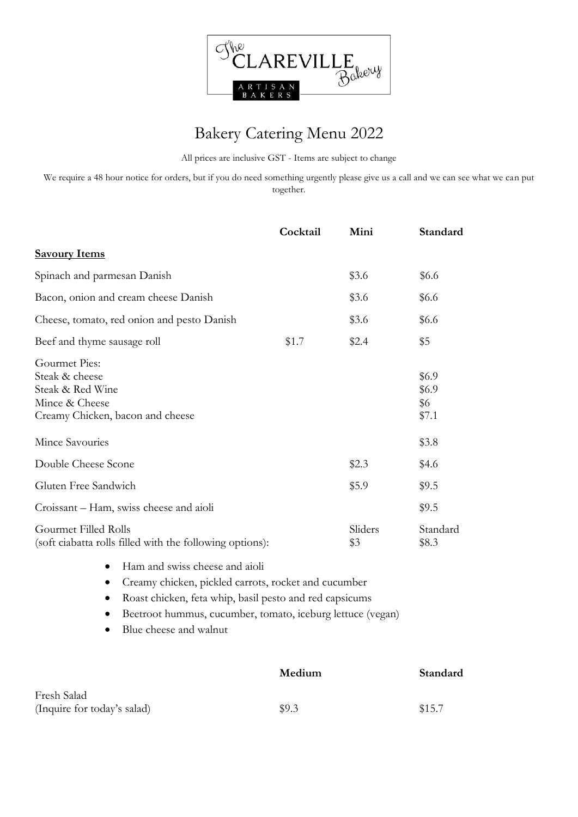

## Bakery Catering Menu 2022

All prices are inclusive GST - Items are subject to change

We require a 48 hour notice for orders, but if you do need something urgently please give us a call and we can see what we can put together.

|                                                                                                           | Cocktail | Mini           | Standard                       |
|-----------------------------------------------------------------------------------------------------------|----------|----------------|--------------------------------|
| <b>Savoury Items</b>                                                                                      |          |                |                                |
| Spinach and parmesan Danish                                                                               |          | \$3.6          | \$6.6                          |
| Bacon, onion and cream cheese Danish                                                                      |          | \$3.6          | \$6.6                          |
| Cheese, tomato, red onion and pesto Danish                                                                |          | \$3.6          | \$6.6                          |
| Beef and thyme sausage roll                                                                               | \$1.7    | \$2.4          | \$5                            |
| Gourmet Pies:<br>Steak & cheese<br>Steak & Red Wine<br>Mince & Cheese<br>Creamy Chicken, bacon and cheese |          |                | \$6.9<br>\$6.9<br>\$6<br>\$7.1 |
| Mince Savouries                                                                                           |          |                | \$3.8                          |
| Double Cheese Scone                                                                                       |          | \$2.3          | \$4.6                          |
| Gluten Free Sandwich                                                                                      |          | \$5.9          | \$9.5                          |
| Croissant – Ham, swiss cheese and aioli                                                                   |          |                | \$9.5                          |
| Gourmet Filled Rolls<br>(soft ciabatta rolls filled with the following options):                          |          | Sliders<br>\$3 | Standard<br>\$8.3              |

- Ham and swiss cheese and aioli
- Creamy chicken, pickled carrots, rocket and cucumber
- Roast chicken, feta whip, basil pesto and red capsicums
- Beetroot hummus, cucumber, tomato, iceburg lettuce (vegan)
- Blue cheese and walnut

|                             | Medium | Standard |
|-----------------------------|--------|----------|
| Fresh Salad                 |        |          |
| (Inquire for today's salad) | \$9.3  | \$15.7   |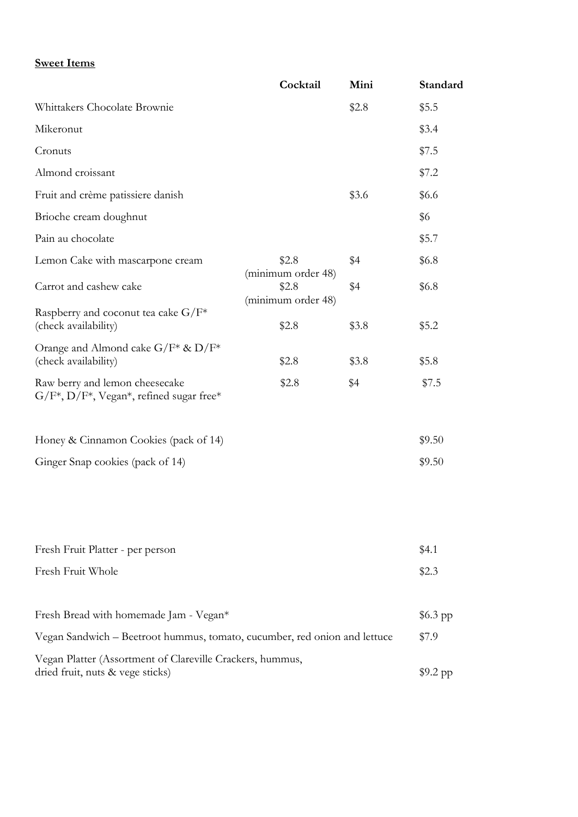## **Sweet Items**

|                                                                                                            | Cocktail                    | Mini  | Standard  |
|------------------------------------------------------------------------------------------------------------|-----------------------------|-------|-----------|
| Whittakers Chocolate Brownie                                                                               |                             | \$2.8 | \$5.5     |
| Mikeronut                                                                                                  |                             |       | \$3.4     |
| Cronuts                                                                                                    |                             |       | \$7.5     |
| Almond croissant                                                                                           |                             |       | \$7.2     |
| Fruit and crème patissiere danish                                                                          |                             | \$3.6 | \$6.6     |
| Brioche cream doughnut                                                                                     |                             |       | \$6       |
| Pain au chocolate                                                                                          |                             |       | \$5.7     |
| Lemon Cake with mascarpone cream                                                                           | \$2.8<br>(minimum order 48) | \$4   | \$6.8     |
| Carrot and cashew cake<br>\$2.8                                                                            | (minimum order 48)          | \$4   | \$6.8\$   |
| Raspberry and coconut tea cake $G/F^*$<br>(check availability)                                             | \$2.8                       | \$3.8 | \$5.2     |
| Orange and Almond cake $G/F^* \& D/F^*$<br>(check availability)                                            | \$2.8                       | \$3.8 | \$5.8     |
| Raw berry and lemon cheesecake<br>$G/F^*$ , $D/F^*$ , Vegan <sup>*</sup> , refined sugar free <sup>*</sup> | \$2.8                       | \$4   | \$7.5     |
| Honey & Cinnamon Cookies (pack of 14)                                                                      |                             |       | \$9.50    |
| Ginger Snap cookies (pack of 14)                                                                           |                             |       | \$9.50    |
|                                                                                                            |                             |       |           |
| Fresh Fruit Platter - per person                                                                           |                             |       | \$4.1     |
| Fresh Fruit Whole                                                                                          |                             |       | \$2.3     |
| Fresh Bread with homemade Jam - Vegan*                                                                     |                             |       | $$6.3$ pp |
| Vegan Sandwich - Beetroot hummus, tomato, cucumber, red onion and lettuce                                  |                             |       | \$7.9     |
| Vegan Platter (Assortment of Clareville Crackers, hummus,<br>dried fruit, nuts & vege sticks)              |                             |       | $$9.2$ pp |